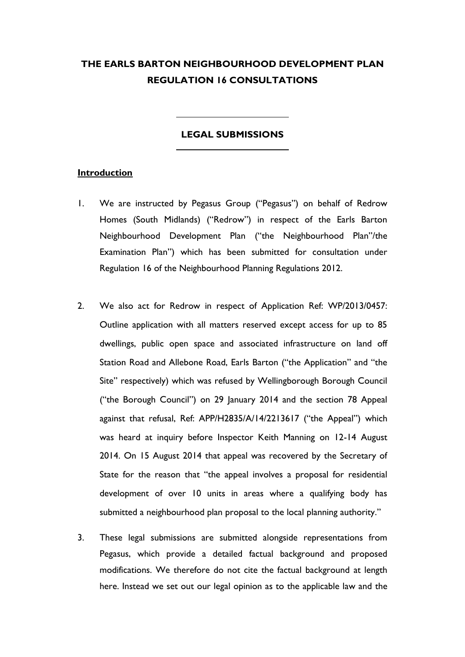## **THE EARLS BARTON NEIGHBOURHOOD DEVELOPMENT PLAN REGULATION 16 CONSULTATIONS**

## **LEGAL SUBMISSIONS**

#### **Introduction**

- 1. We are instructed by Pegasus Group ("Pegasus") on behalf of Redrow Homes (South Midlands) ("Redrow") in respect of the Earls Barton Neighbourhood Development Plan ("the Neighbourhood Plan"/the Examination Plan") which has been submitted for consultation under Regulation 16 of the Neighbourhood Planning Regulations 2012.
- 2. We also act for Redrow in respect of Application Ref: WP/2013/0457: Outline application with all matters reserved except access for up to 85 dwellings, public open space and associated infrastructure on land off Station Road and Allebone Road, Earls Barton ("the Application" and "the Site" respectively) which was refused by Wellingborough Borough Council ("the Borough Council") on 29 January 2014 and the section 78 Appeal against that refusal, Ref: APP/H2835/A/14/2213617 ("the Appeal") which was heard at inquiry before Inspector Keith Manning on 12-14 August 2014. On 15 August 2014 that appeal was recovered by the Secretary of State for the reason that "the appeal involves a proposal for residential development of over 10 units in areas where a qualifying body has submitted a neighbourhood plan proposal to the local planning authority."
- 3. These legal submissions are submitted alongside representations from Pegasus, which provide a detailed factual background and proposed modifications. We therefore do not cite the factual background at length here. Instead we set out our legal opinion as to the applicable law and the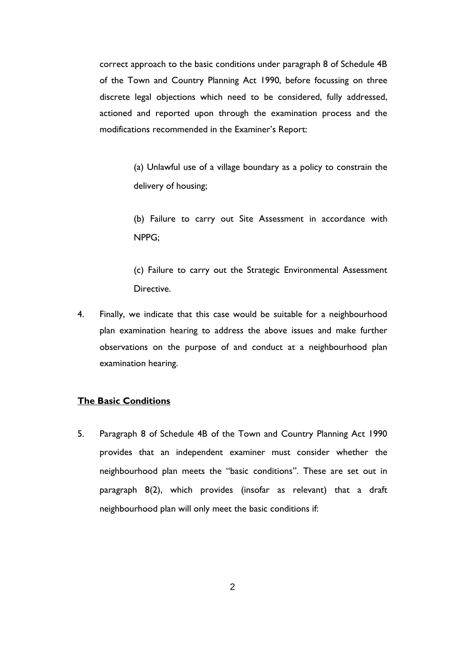correct approach to the basic conditions under paragraph 8 of Schedule 4B of the Town and Country Planning Act 1990, before focussing on three discrete legal objections which need to be considered, fully addressed, actioned and reported upon through the examination process and the modifications recommended in the Examiner's Report:

> (a) Unlawful use of a village boundary as a policy to constrain the delivery of housing;

> (b) Failure to carry out Site Assessment in accordance with NPPG;

> (c) Failure to carry out the Strategic Environmental Assessment Directive.

4. Finally, we indicate that this case would be suitable for a neighbourhood plan examination hearing to address the above issues and make further observations on the purpose of and conduct at a neighbourhood plan examination hearing.

## **The Basic Conditions**

5. Paragraph 8 of Schedule 4B of the Town and Country Planning Act 1990 provides that an independent examiner must consider whether the neighbourhood plan meets the "basic conditions". These are set out in paragraph 8(2), which provides (insofar as relevant) that a draft neighbourhood plan will only meet the basic conditions if: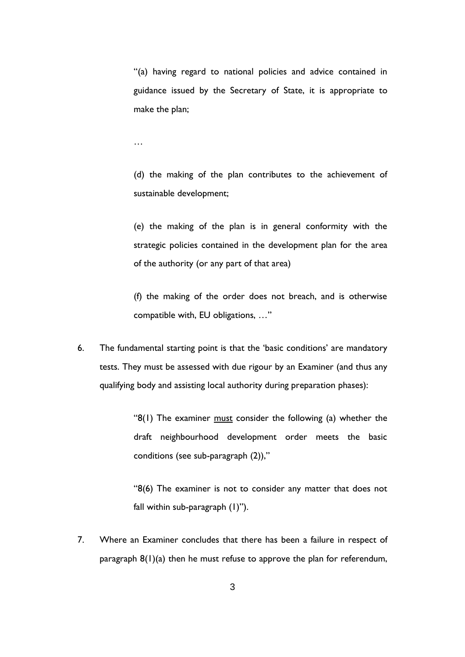"(a) having regard to national policies and advice contained in guidance issued by the Secretary of State, it is appropriate to make the plan;

…

(d) the making of the plan contributes to the achievement of sustainable development;

(e) the making of the plan is in general conformity with the strategic policies contained in the development plan for the area of the authority (or any part of that area)

(f) the making of the order does not breach, and is otherwise compatible with, EU obligations, …"

6. The fundamental starting point is that the 'basic conditions' are mandatory tests. They must be assessed with due rigour by an Examiner (and thus any qualifying body and assisting local authority during preparation phases):

> "8(1) The examiner must consider the following (a) whether the draft neighbourhood development order meets the basic conditions (see sub-paragraph (2)),"

> "8(6) The examiner is not to consider any matter that does not fall within sub-paragraph (1)").

7. Where an Examiner concludes that there has been a failure in respect of paragraph  $8(1)(a)$  then he must refuse to approve the plan for referendum,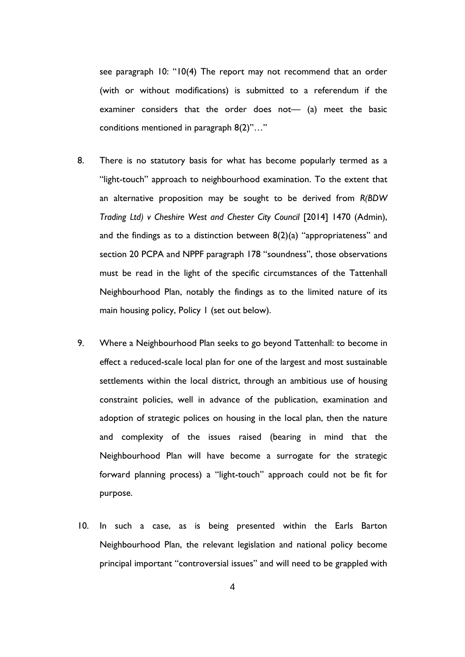see paragraph 10: "10(4) The report may not recommend that an order (with or without modifications) is submitted to a referendum if the examiner considers that the order does not— (a) meet the basic conditions mentioned in paragraph 8(2)"…"

- 8. There is no statutory basis for what has become popularly termed as a "light-touch" approach to neighbourhood examination. To the extent that an alternative proposition may be sought to be derived from *R(BDW Trading Ltd) v Cheshire West and Chester City Council* [2014] 1470 (Admin), and the findings as to a distinction between  $8(2)(a)$  "appropriateness" and section 20 PCPA and NPPF paragraph 178 "soundness", those observations must be read in the light of the specific circumstances of the Tattenhall Neighbourhood Plan, notably the findings as to the limited nature of its main housing policy, Policy 1 (set out below).
- 9. Where a Neighbourhood Plan seeks to go beyond Tattenhall: to become in effect a reduced-scale local plan for one of the largest and most sustainable settlements within the local district, through an ambitious use of housing constraint policies, well in advance of the publication, examination and adoption of strategic polices on housing in the local plan, then the nature and complexity of the issues raised (bearing in mind that the Neighbourhood Plan will have become a surrogate for the strategic forward planning process) a "light-touch" approach could not be fit for purpose.
- 10. In such a case, as is being presented within the Earls Barton Neighbourhood Plan, the relevant legislation and national policy become principal important "controversial issues" and will need to be grappled with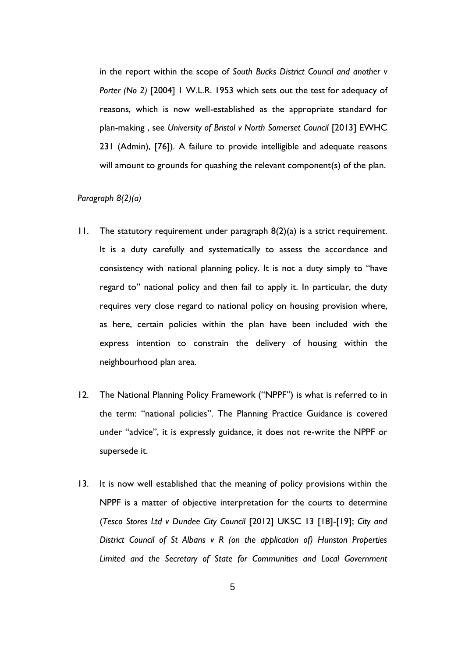in the report within the scope of *South Bucks District Council and another v Porter (No 2)* [2004] 1 W.L.R. 1953 which sets out the test for adequacy of reasons, which is now well-established as the appropriate standard for plan-making , see *University of Bristol v North Somerset Council* [2013] EWHC 231 (Admin), [76]). A failure to provide intelligible and adequate reasons will amount to grounds for quashing the relevant component(s) of the plan.

#### *Paragraph 8(2)(a)*

- 11. The statutory requirement under paragraph 8(2)(a) is a strict requirement. It is a duty carefully and systematically to assess the accordance and consistency with national planning policy. It is not a duty simply to "have regard to" national policy and then fail to apply it. In particular, the duty requires very close regard to national policy on housing provision where, as here, certain policies within the plan have been included with the express intention to constrain the delivery of housing within the neighbourhood plan area.
- 12. The National Planning Policy Framework ("NPPF") is what is referred to in the term: "national policies". The Planning Practice Guidance is covered under "advice", it is expressly guidance, it does not re-write the NPPF or supersede it.
- 13. It is now well established that the meaning of policy provisions within the NPPF is a matter of objective interpretation for the courts to determine (*Tesco Stores Ltd v Dundee City Council* [2012] UKSC 13 [18]-[19]; *City and District Council of St Albans v R (on the application of) Hunston Properties Limited and the Secretary of State for Communities and Local Government*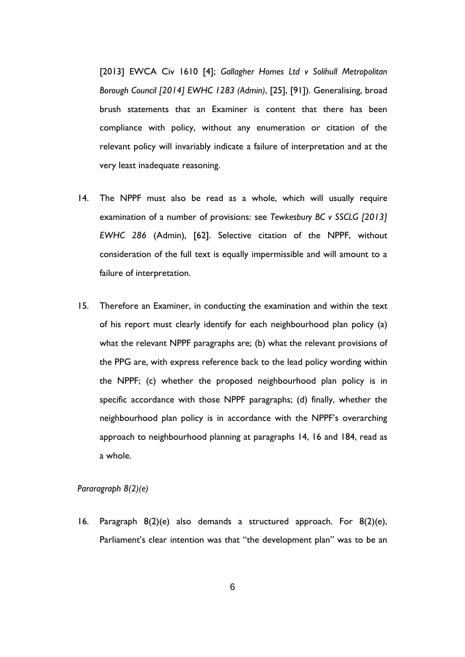[2013] EWCA Civ 1610 [4]; *Gallagher Homes Ltd v Solihull Metropolitan Borough Council [2014] EWHC 1283 (Admin)*, [25], [91]). Generalising, broad brush statements that an Examiner is content that there has been compliance with policy, without any enumeration or citation of the relevant policy will invariably indicate a failure of interpretation and at the very least inadequate reasoning.

- 14. The NPPF must also be read as a whole, which will usually require examination of a number of provisions: see *Tewkesbury BC v SSCLG [2013] EWHC 286* (Admin), [62]. Selective citation of the NPPF, without consideration of the full text is equally impermissible and will amount to a failure of interpretation.
- 15. Therefore an Examiner, in conducting the examination and within the text of his report must clearly identify for each neighbourhood plan policy (a) what the relevant NPPF paragraphs are; (b) what the relevant provisions of the PPG are, with express reference back to the lead policy wording within the NPPF; (c) whether the proposed neighbourhood plan policy is in specific accordance with those NPPF paragraphs; (d) finally, whether the neighbourhood plan policy is in accordance with the NPPF's overarching approach to neighbourhood planning at paragraphs 14, 16 and 184, read as a whole.

#### *Pararagraph 8(2)(e)*

16. Paragraph 8(2)(e) also demands a structured approach. For 8(2)(e), Parliament's clear intention was that "the development plan" was to be an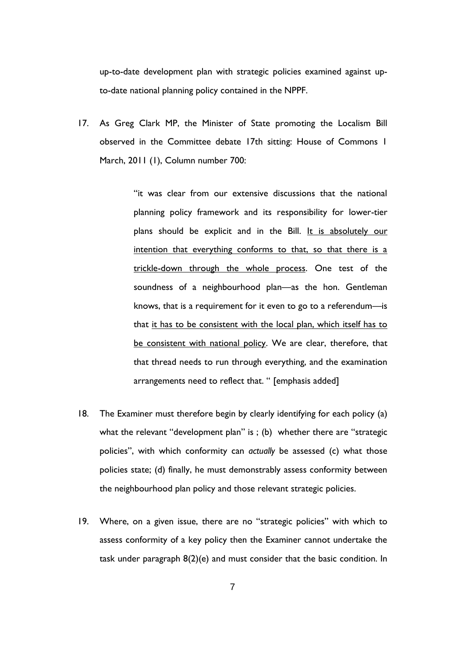up-to-date development plan with strategic policies examined against upto-date national planning policy contained in the NPPF.

17. As Greg Clark MP, the Minister of State promoting the Localism Bill observed in the Committee debate 17th sitting: House of Commons 1 March, 2011 (1), Column number 700:

> "it was clear from our extensive discussions that the national planning policy framework and its responsibility for lower-tier plans should be explicit and in the Bill. It is absolutely our intention that everything conforms to that, so that there is a trickle-down through the whole process. One test of the soundness of a neighbourhood plan—as the hon. Gentleman knows, that is a requirement for it even to go to a referendum—is that it has to be consistent with the local plan, which itself has to be consistent with national policy. We are clear, therefore, that that thread needs to run through everything, and the examination arrangements need to reflect that. " [emphasis added]

- 18. The Examiner must therefore begin by clearly identifying for each policy (a) what the relevant "development plan" is ; (b) whether there are "strategic policies", with which conformity can *actually* be assessed (c) what those policies state; (d) finally, he must demonstrably assess conformity between the neighbourhood plan policy and those relevant strategic policies.
- 19. Where, on a given issue, there are no "strategic policies" with which to assess conformity of a key policy then the Examiner cannot undertake the task under paragraph 8(2)(e) and must consider that the basic condition. In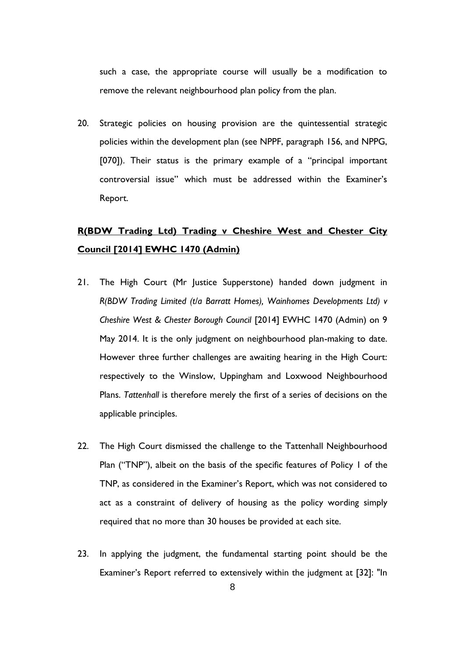such a case, the appropriate course will usually be a modification to remove the relevant neighbourhood plan policy from the plan.

20. Strategic policies on housing provision are the quintessential strategic policies within the development plan (see NPPF, paragraph 156, and NPPG, [070]). Their status is the primary example of a "principal important controversial issue" which must be addressed within the Examiner's Report.

# **R(BDW Trading Ltd) Trading v Cheshire West and Chester City Council [2014] EWHC 1470 (Admin)**

- 21. The High Court (Mr Justice Supperstone) handed down judgment in *R(BDW Trading Limited (t/a Barratt Homes), Wainhomes Developments Ltd) v Cheshire West & Chester Borough Council* [2014] EWHC 1470 (Admin) on 9 May 2014. It is the only judgment on neighbourhood plan-making to date. However three further challenges are awaiting hearing in the High Court: respectively to the Winslow, Uppingham and Loxwood Neighbourhood Plans. *Tattenhall* is therefore merely the first of a series of decisions on the applicable principles.
- 22. The High Court dismissed the challenge to the Tattenhall Neighbourhood Plan ("TNP"), albeit on the basis of the specific features of Policy 1 of the TNP, as considered in the Examiner's Report, which was not considered to act as a constraint of delivery of housing as the policy wording simply required that no more than 30 houses be provided at each site.
- 23. In applying the judgment, the fundamental starting point should be the Examiner's Report referred to extensively within the judgment at [32]: "In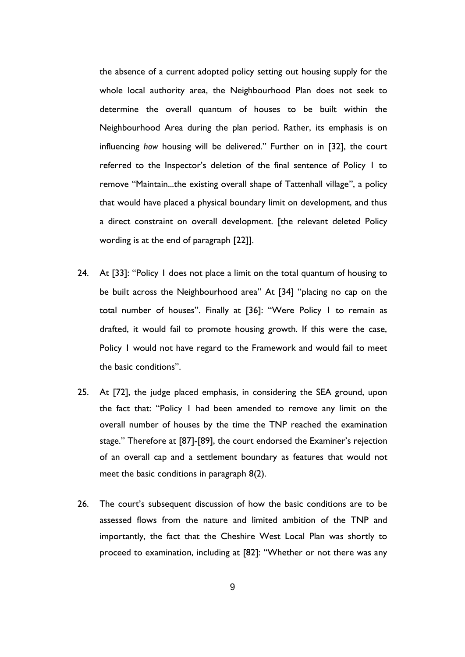the absence of a current adopted policy setting out housing supply for the whole local authority area, the Neighbourhood Plan does not seek to determine the overall quantum of houses to be built within the Neighbourhood Area during the plan period. Rather, its emphasis is on influencing *how* housing will be delivered." Further on in [32], the court referred to the Inspector's deletion of the final sentence of Policy 1 to remove "Maintain...the existing overall shape of Tattenhall village", a policy that would have placed a physical boundary limit on development, and thus a direct constraint on overall development. [the relevant deleted Policy wording is at the end of paragraph [22]].

- 24. At [33]: "Policy 1 does not place a limit on the total quantum of housing to be built across the Neighbourhood area" At [34] "placing no cap on the total number of houses". Finally at [36]: "Were Policy 1 to remain as drafted, it would fail to promote housing growth. If this were the case, Policy 1 would not have regard to the Framework and would fail to meet the basic conditions".
- 25. At [72], the judge placed emphasis, in considering the SEA ground, upon the fact that: "Policy 1 had been amended to remove any limit on the overall number of houses by the time the TNP reached the examination stage." Therefore at [87]-[89], the court endorsed the Examiner's rejection of an overall cap and a settlement boundary as features that would not meet the basic conditions in paragraph 8(2).
- 26. The court's subsequent discussion of how the basic conditions are to be assessed flows from the nature and limited ambition of the TNP and importantly, the fact that the Cheshire West Local Plan was shortly to proceed to examination, including at [82]: "Whether or not there was any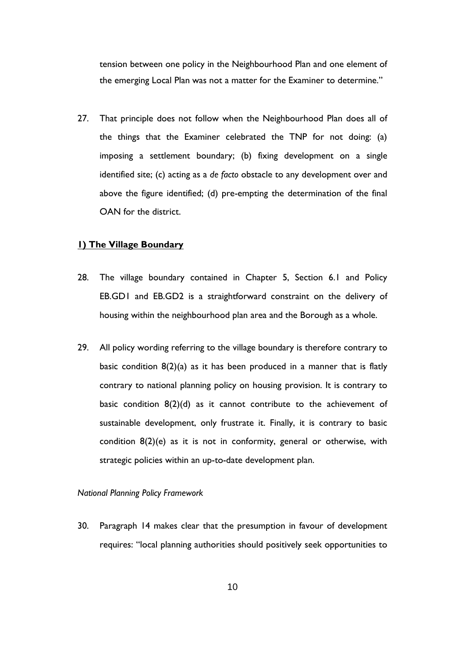tension between one policy in the Neighbourhood Plan and one element of the emerging Local Plan was not a matter for the Examiner to determine."

27. That principle does not follow when the Neighbourhood Plan does all of the things that the Examiner celebrated the TNP for not doing: (a) imposing a settlement boundary; (b) fixing development on a single identified site; (c) acting as a *de facto* obstacle to any development over and above the figure identified; (d) pre-empting the determination of the final OAN for the district.

## **1) The Village Boundary**

- 28. The village boundary contained in Chapter 5, Section 6.1 and Policy EB.GD1 and EB.GD2 is a straightforward constraint on the delivery of housing within the neighbourhood plan area and the Borough as a whole.
- 29. All policy wording referring to the village boundary is therefore contrary to basic condition  $8(2)(a)$  as it has been produced in a manner that is flatly contrary to national planning policy on housing provision. It is contrary to basic condition  $8(2)(d)$  as it cannot contribute to the achievement of sustainable development, only frustrate it. Finally, it is contrary to basic condition 8(2)(e) as it is not in conformity, general or otherwise, with strategic policies within an up-to-date development plan.

#### *National Planning Policy Framework*

30. Paragraph 14 makes clear that the presumption in favour of development requires: "local planning authorities should positively seek opportunities to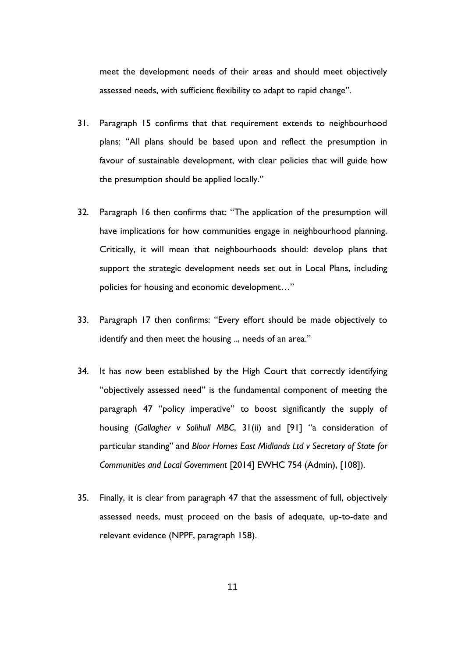meet the development needs of their areas and should meet objectively assessed needs, with sufficient flexibility to adapt to rapid change".

- 31. Paragraph 15 confirms that that requirement extends to neighbourhood plans: "All plans should be based upon and reflect the presumption in favour of sustainable development, with clear policies that will guide how the presumption should be applied locally."
- 32. Paragraph 16 then confirms that: "The application of the presumption will have implications for how communities engage in neighbourhood planning. Critically, it will mean that neighbourhoods should: develop plans that support the strategic development needs set out in Local Plans, including policies for housing and economic development…"
- 33. Paragraph 17 then confirms: "Every effort should be made objectively to identify and then meet the housing .., needs of an area."
- 34. It has now been established by the High Court that correctly identifying "objectively assessed need" is the fundamental component of meeting the paragraph 47 "policy imperative" to boost significantly the supply of housing (*Gallagher v Solihull MBC*, 31(ii) and [91] "a consideration of particular standing" and *Bloor Homes East Midlands Ltd v Secretary of State for Communities and Local Government* [2014] EWHC 754 (Admin), [108]).
- 35. Finally, it is clear from paragraph 47 that the assessment of full, objectively assessed needs, must proceed on the basis of adequate, up-to-date and relevant evidence (NPPF, paragraph 158).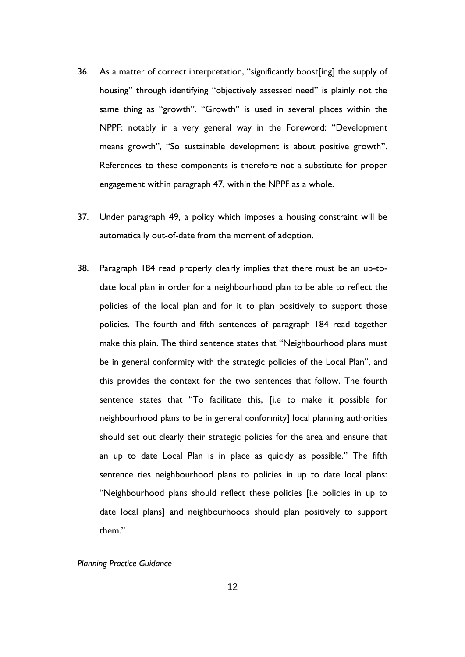- 36. As a matter of correct interpretation, "significantly boost[ing] the supply of housing" through identifying "objectively assessed need" is plainly not the same thing as "growth". "Growth" is used in several places within the NPPF: notably in a very general way in the Foreword: "Development means growth", "So sustainable development is about positive growth". References to these components is therefore not a substitute for proper engagement within paragraph 47, within the NPPF as a whole.
- 37. Under paragraph 49, a policy which imposes a housing constraint will be automatically out-of-date from the moment of adoption.
- 38. Paragraph 184 read properly clearly implies that there must be an up-todate local plan in order for a neighbourhood plan to be able to reflect the policies of the local plan and for it to plan positively to support those policies. The fourth and fifth sentences of paragraph 184 read together make this plain. The third sentence states that "Neighbourhood plans must be in general conformity with the strategic policies of the Local Plan", and this provides the context for the two sentences that follow. The fourth sentence states that "To facilitate this, [i.e to make it possible for neighbourhood plans to be in general conformity] local planning authorities should set out clearly their strategic policies for the area and ensure that an up to date Local Plan is in place as quickly as possible." The fifth sentence ties neighbourhood plans to policies in up to date local plans: "Neighbourhood plans should reflect these policies [i.e policies in up to date local plans] and neighbourhoods should plan positively to support them."

#### *Planning Practice Guidance*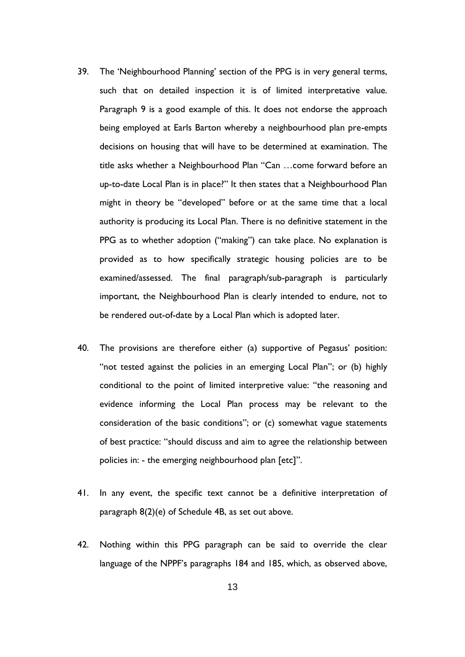- 39. The 'Neighbourhood Planning' section of the PPG is in very general terms, such that on detailed inspection it is of limited interpretative value. Paragraph 9 is a good example of this. It does not endorse the approach being employed at Earls Barton whereby a neighbourhood plan pre-empts decisions on housing that will have to be determined at examination. The title asks whether a Neighbourhood Plan "Can …come forward before an up-to-date Local Plan is in place?" It then states that a Neighbourhood Plan might in theory be "developed" before or at the same time that a local authority is producing its Local Plan. There is no definitive statement in the PPG as to whether adoption ("making") can take place. No explanation is provided as to how specifically strategic housing policies are to be examined/assessed. The final paragraph/sub-paragraph is particularly important, the Neighbourhood Plan is clearly intended to endure, not to be rendered out-of-date by a Local Plan which is adopted later.
- 40. The provisions are therefore either (a) supportive of Pegasus' position: "not tested against the policies in an emerging Local Plan"; or (b) highly conditional to the point of limited interpretive value: "the reasoning and evidence informing the Local Plan process may be relevant to the consideration of the basic conditions"; or (c) somewhat vague statements of best practice: "should discuss and aim to agree the relationship between policies in: - the emerging neighbourhood plan [etc]".
- 41. In any event, the specific text cannot be a definitive interpretation of paragraph 8(2)(e) of Schedule 4B, as set out above.
- 42. Nothing within this PPG paragraph can be said to override the clear language of the NPPF's paragraphs 184 and 185, which, as observed above,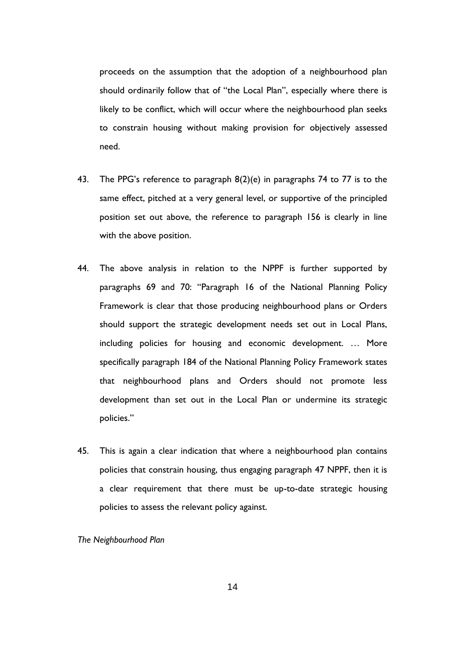proceeds on the assumption that the adoption of a neighbourhood plan should ordinarily follow that of "the Local Plan", especially where there is likely to be conflict, which will occur where the neighbourhood plan seeks to constrain housing without making provision for objectively assessed need.

- 43. The PPG's reference to paragraph 8(2)(e) in paragraphs 74 to 77 is to the same effect, pitched at a very general level, or supportive of the principled position set out above, the reference to paragraph 156 is clearly in line with the above position.
- 44. The above analysis in relation to the NPPF is further supported by paragraphs 69 and 70: "Paragraph 16 of the National Planning Policy Framework is clear that those producing neighbourhood plans or Orders should support the strategic development needs set out in Local Plans, including policies for housing and economic development. … More specifically paragraph 184 of the National Planning Policy Framework states that neighbourhood plans and Orders should not promote less development than set out in the Local Plan or undermine its strategic policies."
- 45. This is again a clear indication that where a neighbourhood plan contains policies that constrain housing, thus engaging paragraph 47 NPPF, then it is a clear requirement that there must be up-to-date strategic housing policies to assess the relevant policy against.

*The Neighbourhood Plan*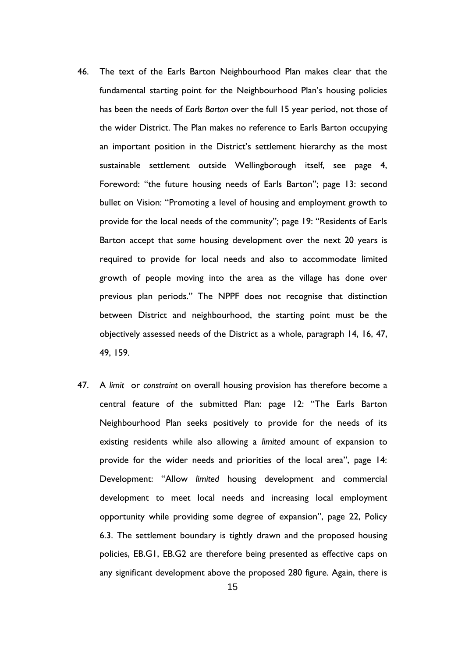- 46. The text of the Earls Barton Neighbourhood Plan makes clear that the fundamental starting point for the Neighbourhood Plan's housing policies has been the needs of *Earls Barton* over the full 15 year period, not those of the wider District. The Plan makes no reference to Earls Barton occupying an important position in the District's settlement hierarchy as the most sustainable settlement outside Wellingborough itself, see page 4, Foreword: "the future housing needs of Earls Barton"; page 13: second bullet on Vision: "Promoting a level of housing and employment growth to provide for the local needs of the community"; page 19: "Residents of Earls Barton accept that *some* housing development over the next 20 years is required to provide for local needs and also to accommodate limited growth of people moving into the area as the village has done over previous plan periods." The NPPF does not recognise that distinction between District and neighbourhood, the starting point must be the objectively assessed needs of the District as a whole, paragraph 14, 16, 47, 49, 159.
- 47. A *limit* or *constraint* on overall housing provision has therefore become a central feature of the submitted Plan: page 12: "The Earls Barton Neighbourhood Plan seeks positively to provide for the needs of its existing residents while also allowing a *limited* amount of expansion to provide for the wider needs and priorities of the local area", page 14: Development: "Allow *limited* housing development and commercial development to meet local needs and increasing local employment opportunity while providing some degree of expansion", page 22, Policy 6.3. The settlement boundary is tightly drawn and the proposed housing policies, EB.G1, EB.G2 are therefore being presented as effective caps on any significant development above the proposed 280 figure. Again, there is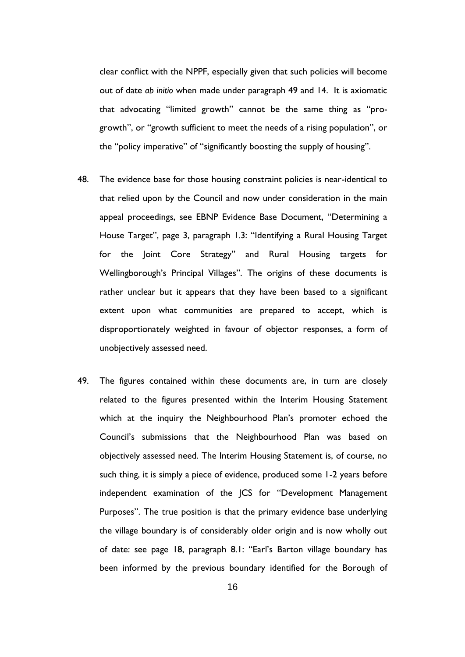clear conflict with the NPPF, especially given that such policies will become out of date *ab initio* when made under paragraph 49 and 14. It is axiomatic that advocating "limited growth" cannot be the same thing as "progrowth", or "growth sufficient to meet the needs of a rising population", or the "policy imperative" of "significantly boosting the supply of housing".

- 48. The evidence base for those housing constraint policies is near-identical to that relied upon by the Council and now under consideration in the main appeal proceedings, see EBNP Evidence Base Document, "Determining a House Target", page 3, paragraph 1.3: "Identifying a Rural Housing Target for the Joint Core Strategy" and Rural Housing targets for Wellingborough's Principal Villages". The origins of these documents is rather unclear but it appears that they have been based to a significant extent upon what communities are prepared to accept, which is disproportionately weighted in favour of objector responses, a form of unobjectively assessed need.
- 49. The figures contained within these documents are, in turn are closely related to the figures presented within the Interim Housing Statement which at the inquiry the Neighbourhood Plan's promoter echoed the Council's submissions that the Neighbourhood Plan was based on objectively assessed need. The Interim Housing Statement is, of course, no such thing, it is simply a piece of evidence, produced some 1-2 years before independent examination of the JCS for "Development Management Purposes". The true position is that the primary evidence base underlying the village boundary is of considerably older origin and is now wholly out of date: see page 18, paragraph 8.1: "Earl's Barton village boundary has been informed by the previous boundary identified for the Borough of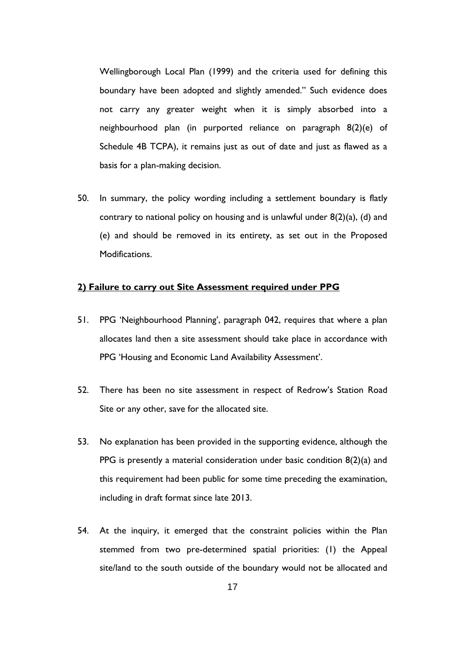Wellingborough Local Plan (1999) and the criteria used for defining this boundary have been adopted and slightly amended." Such evidence does not carry any greater weight when it is simply absorbed into a neighbourhood plan (in purported reliance on paragraph 8(2)(e) of Schedule 4B TCPA), it remains just as out of date and just as flawed as a basis for a plan-making decision.

50. In summary, the policy wording including a settlement boundary is flatly contrary to national policy on housing and is unlawful under  $8(2)(a)$ , (d) and (e) and should be removed in its entirety, as set out in the Proposed Modifications.

#### **2) Failure to carry out Site Assessment required under PPG**

- 51. PPG 'Neighbourhood Planning', paragraph 042, requires that where a plan allocates land then a site assessment should take place in accordance with PPG 'Housing and Economic Land Availability Assessment'.
- 52. There has been no site assessment in respect of Redrow's Station Road Site or any other, save for the allocated site.
- 53. No explanation has been provided in the supporting evidence, although the PPG is presently a material consideration under basic condition 8(2)(a) and this requirement had been public for some time preceding the examination, including in draft format since late 2013.
- 54. At the inquiry, it emerged that the constraint policies within the Plan stemmed from two pre-determined spatial priorities: (1) the Appeal site/land to the south outside of the boundary would not be allocated and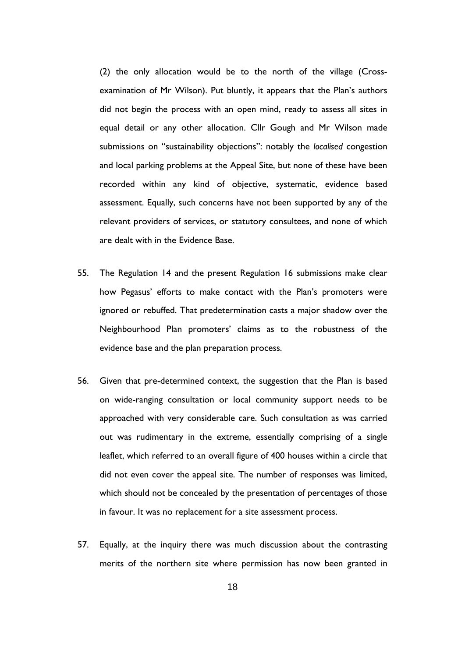(2) the only allocation would be to the north of the village (Crossexamination of Mr Wilson). Put bluntly, it appears that the Plan's authors did not begin the process with an open mind, ready to assess all sites in equal detail or any other allocation. Cllr Gough and Mr Wilson made submissions on "sustainability objections": notably the *localised* congestion and local parking problems at the Appeal Site, but none of these have been recorded within any kind of objective, systematic, evidence based assessment. Equally, such concerns have not been supported by any of the relevant providers of services, or statutory consultees, and none of which are dealt with in the Evidence Base.

- 55. The Regulation 14 and the present Regulation 16 submissions make clear how Pegasus' efforts to make contact with the Plan's promoters were ignored or rebuffed. That predetermination casts a major shadow over the Neighbourhood Plan promoters' claims as to the robustness of the evidence base and the plan preparation process.
- 56. Given that pre-determined context, the suggestion that the Plan is based on wide-ranging consultation or local community support needs to be approached with very considerable care. Such consultation as was carried out was rudimentary in the extreme, essentially comprising of a single leaflet, which referred to an overall figure of 400 houses within a circle that did not even cover the appeal site. The number of responses was limited, which should not be concealed by the presentation of percentages of those in favour. It was no replacement for a site assessment process.
- 57. Equally, at the inquiry there was much discussion about the contrasting merits of the northern site where permission has now been granted in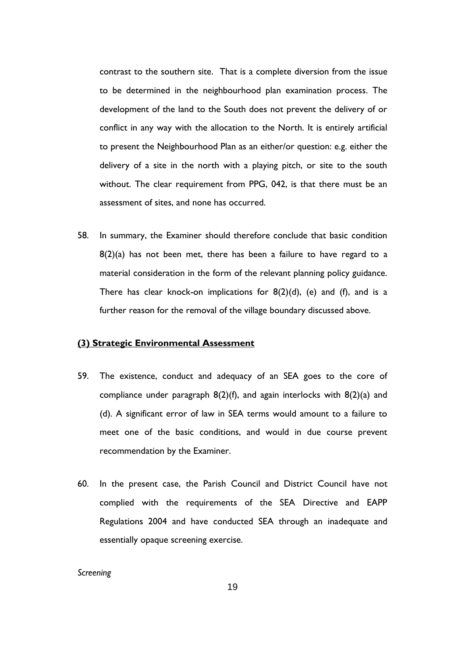contrast to the southern site. That is a complete diversion from the issue to be determined in the neighbourhood plan examination process. The development of the land to the South does not prevent the delivery of or conflict in any way with the allocation to the North. It is entirely artificial to present the Neighbourhood Plan as an either/or question: e.g. either the delivery of a site in the north with a playing pitch, or site to the south without. The clear requirement from PPG, 042, is that there must be an assessment of sites, and none has occurred.

58. In summary, the Examiner should therefore conclude that basic condition  $8(2)(a)$  has not been met, there has been a failure to have regard to a material consideration in the form of the relevant planning policy guidance. There has clear knock-on implications for  $8(2)(d)$ , (e) and (f), and is a further reason for the removal of the village boundary discussed above.

#### **(3) Strategic Environmental Assessment**

- 59. The existence, conduct and adequacy of an SEA goes to the core of compliance under paragraph 8(2)(f), and again interlocks with 8(2)(a) and (d). A significant error of law in SEA terms would amount to a failure to meet one of the basic conditions, and would in due course prevent recommendation by the Examiner.
- 60. In the present case, the Parish Council and District Council have not complied with the requirements of the SEA Directive and EAPP Regulations 2004 and have conducted SEA through an inadequate and essentially opaque screening exercise.

*Screening*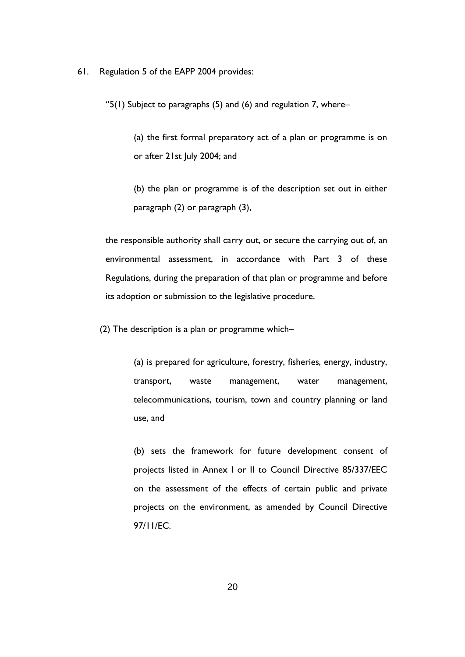61. Regulation 5 of the EAPP 2004 provides:

"5(1) Subject to paragraphs (5) and (6) and regulation 7, where–

(a) the first formal preparatory act of a plan or programme is on or after 21st July 2004; and

(b) the plan or programme is of the description set out in either paragraph (2) or paragraph (3),

the responsible authority shall carry out, or secure the carrying out of, an environmental assessment, in accordance with Part 3 of these Regulations, during the preparation of that plan or programme and before its adoption or submission to the legislative procedure.

(2) The description is a plan or programme which–

(a) is prepared for agriculture, forestry, fisheries, energy, industry, transport, waste management, water management, telecommunications, tourism, town and country planning or land use, and

(b) sets the framework for future development consent of projects listed in Annex I or II to Council Directive 85/337/EEC on the assessment of the effects of certain public and private projects on the environment, as amended by Council Directive 97/11/EC.

20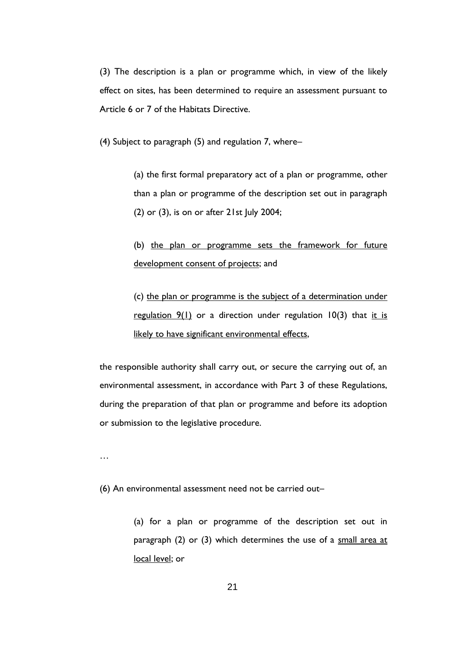(3) The description is a plan or programme which, in view of the likely effect on sites, has been determined to require an assessment pursuant to Article 6 or 7 of the Habitats Directive.

(4) Subject to paragraph (5) and regulation 7, where–

(a) the first formal preparatory act of a plan or programme, other than a plan or programme of the description set out in paragraph (2) or (3), is on or after 21st July 2004;

(b) the plan or programme sets the framework for future development consent of projects; and

(c) the plan or programme is the subject of a determination under regulation  $9(1)$  or a direction under regulation  $10(3)$  that it is likely to have significant environmental effects,

the responsible authority shall carry out, or secure the carrying out of, an environmental assessment, in accordance with Part 3 of these Regulations, during the preparation of that plan or programme and before its adoption or submission to the legislative procedure.

…

(6) An environmental assessment need not be carried out–

(a) for a plan or programme of the description set out in paragraph (2) or (3) which determines the use of a small area at local level; or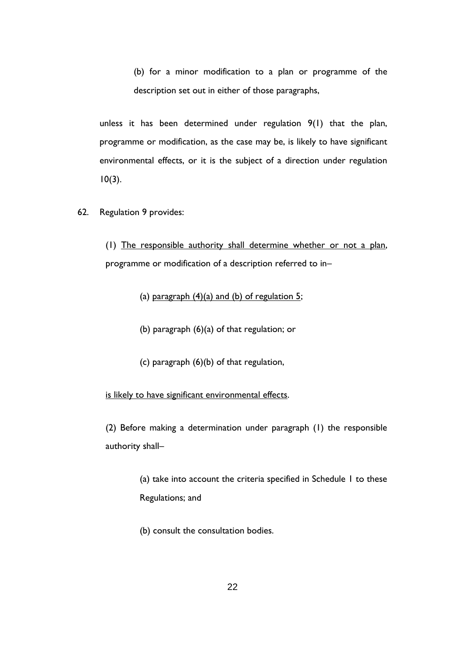(b) for a minor modification to a plan or programme of the description set out in either of those paragraphs,

unless it has been determined under regulation 9(1) that the plan, programme or modification, as the case may be, is likely to have significant environmental effects, or it is the subject of a direction under regulation  $10(3)$ .

62. Regulation 9 provides:

(1) The responsible authority shall determine whether or not a plan, programme or modification of a description referred to in–

(a) paragraph  $(4)(a)$  and  $(b)$  of regulation 5;

(b) paragraph (6)(a) of that regulation; or

(c) paragraph (6)(b) of that regulation,

is likely to have significant environmental effects.

(2) Before making a determination under paragraph (1) the responsible authority shall–

> (a) take into account the criteria specified in Schedule 1 to these Regulations; and

(b) consult the consultation bodies.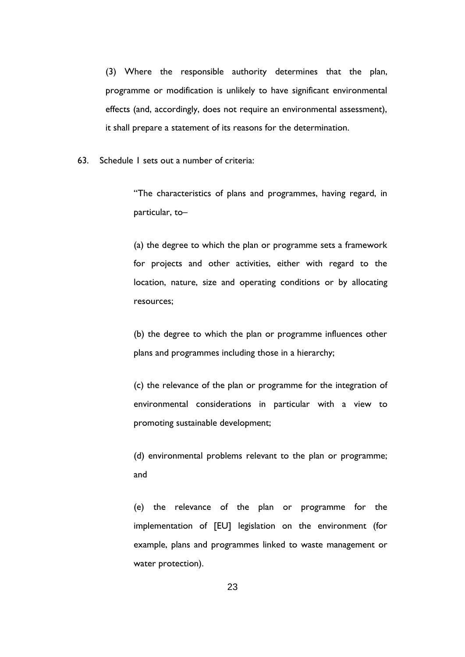(3) Where the responsible authority determines that the plan, programme or modification is unlikely to have significant environmental effects (and, accordingly, does not require an environmental assessment), it shall prepare a statement of its reasons for the determination.

63. Schedule 1 sets out a number of criteria:

"The characteristics of plans and programmes, having regard, in particular, to–

(a) the degree to which the plan or programme sets a framework for projects and other activities, either with regard to the location, nature, size and operating conditions or by allocating resources;

(b) the degree to which the plan or programme influences other plans and programmes including those in a hierarchy;

(c) the relevance of the plan or programme for the integration of environmental considerations in particular with a view to promoting sustainable development;

(d) environmental problems relevant to the plan or programme; and

(e) the relevance of the plan or programme for the implementation of [EU] legislation on the environment (for example, plans and programmes linked to waste management or water protection).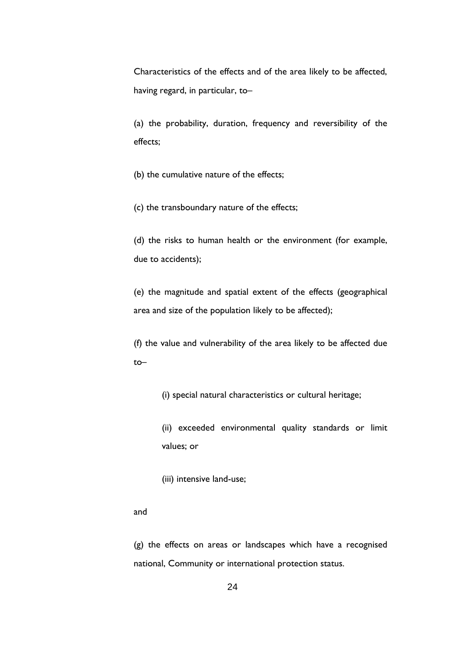Characteristics of the effects and of the area likely to be affected, having regard, in particular, to–

(a) the probability, duration, frequency and reversibility of the effects;

(b) the cumulative nature of the effects;

(c) the transboundary nature of the effects;

(d) the risks to human health or the environment (for example, due to accidents);

(e) the magnitude and spatial extent of the effects (geographical area and size of the population likely to be affected);

(f) the value and vulnerability of the area likely to be affected due to–

(i) special natural characteristics or cultural heritage;

(ii) exceeded environmental quality standards or limit values; or

(iii) intensive land-use;

#### and

(g) the effects on areas or landscapes which have a recognised national, Community or international protection status.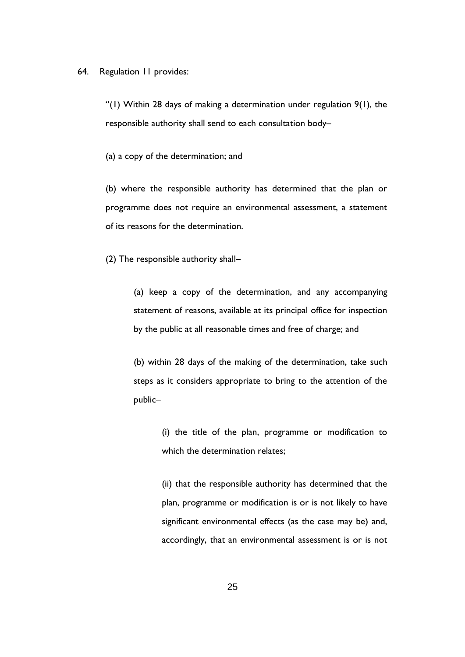#### 64. Regulation 11 provides:

"(1) Within 28 days of making a determination under regulation  $9(1)$ , the responsible authority shall send to each consultation body–

(a) a copy of the determination; and

(b) where the responsible authority has determined that the plan or programme does not require an environmental assessment, a statement of its reasons for the determination.

(2) The responsible authority shall–

(a) keep a copy of the determination, and any accompanying statement of reasons, available at its principal office for inspection by the public at all reasonable times and free of charge; and

(b) within 28 days of the making of the determination, take such steps as it considers appropriate to bring to the attention of the public–

> (i) the title of the plan, programme or modification to which the determination relates;

> (ii) that the responsible authority has determined that the plan, programme or modification is or is not likely to have significant environmental effects (as the case may be) and, accordingly, that an environmental assessment is or is not

> > 25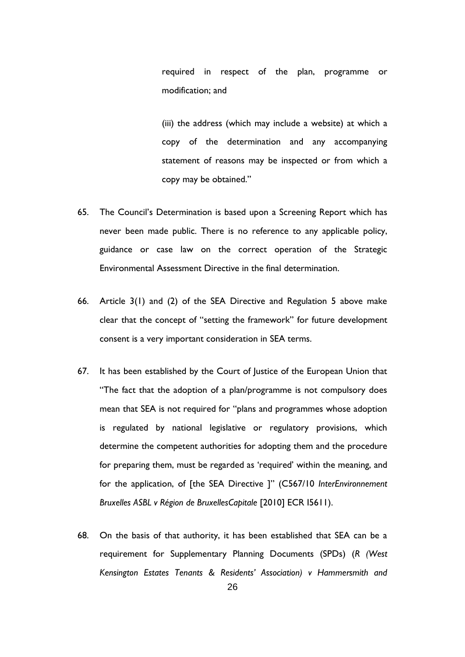required in respect of the plan, programme or modification; and

(iii) the address (which may include a website) at which a copy of the determination and any accompanying statement of reasons may be inspected or from which a copy may be obtained."

- 65. The Council's Determination is based upon a Screening Report which has never been made public. There is no reference to any applicable policy, guidance or case law on the correct operation of the Strategic Environmental Assessment Directive in the final determination.
- 66. Article 3(1) and (2) of the SEA Directive and Regulation 5 above make clear that the concept of "setting the framework" for future development consent is a very important consideration in SEA terms.
- 67. It has been established by the Court of Justice of the European Union that "The fact that the adoption of a plan/programme is not compulsory does mean that SEA is not required for "plans and programmes whose adoption is regulated by national legislative or regulatory provisions, which determine the competent authorities for adopting them and the procedure for preparing them, must be regarded as 'required' within the meaning, and for the application, of [the SEA Directive ]" (C567/10 *InterEnvironnement Bruxelles ASBL v Région de BruxellesCapitale* [2010] ECR I5611).
- 68. On the basis of that authority, it has been established that SEA can be a requirement for Supplementary Planning Documents (SPDs) (*R (West Kensington Estates Tenants & Residents' Association) v Hammersmith and*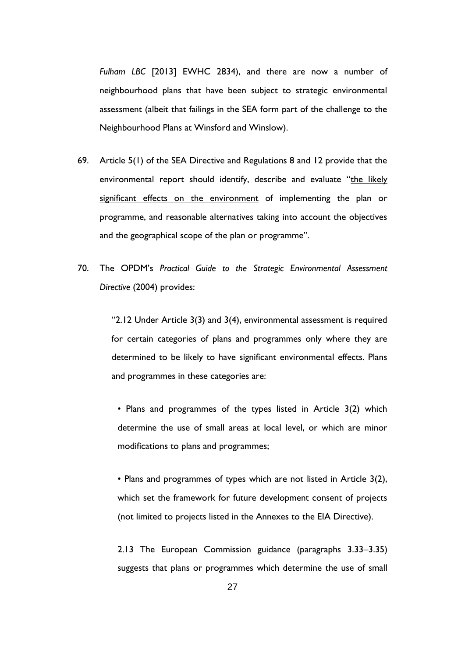*Fulham LBC* [2013] EWHC 2834), and there are now a number of neighbourhood plans that have been subject to strategic environmental assessment (albeit that failings in the SEA form part of the challenge to the Neighbourhood Plans at Winsford and Winslow).

- 69. Article 5(1) of the SEA Directive and Regulations 8 and 12 provide that the environmental report should identify, describe and evaluate "the likely significant effects on the environment of implementing the plan or programme, and reasonable alternatives taking into account the objectives and the geographical scope of the plan or programme".
- 70. The OPDM's *Practical Guide to the Strategic Environmental Assessment Directive* (2004) provides:

"2.12 Under Article 3(3) and 3(4), environmental assessment is required for certain categories of plans and programmes only where they are determined to be likely to have significant environmental effects. Plans and programmes in these categories are:

• Plans and programmes of the types listed in Article 3(2) which determine the use of small areas at local level, or which are minor modifications to plans and programmes;

• Plans and programmes of types which are not listed in Article 3(2), which set the framework for future development consent of projects (not limited to projects listed in the Annexes to the EIA Directive).

2.13 The European Commission guidance (paragraphs 3.33–3.35) suggests that plans or programmes which determine the use of small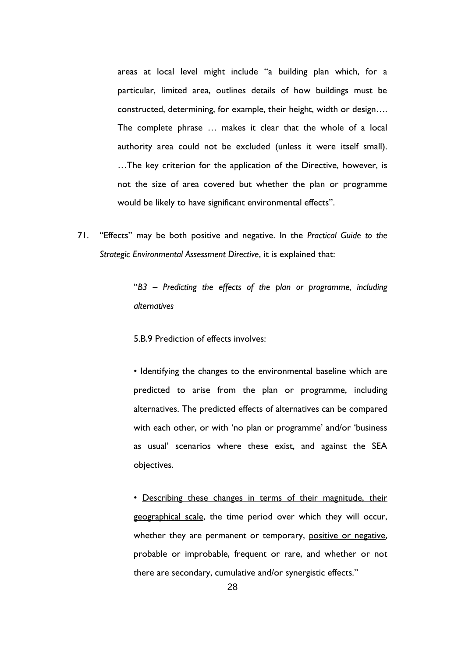areas at local level might include "a building plan which, for a particular, limited area, outlines details of how buildings must be constructed, determining, for example, their height, width or design…. The complete phrase … makes it clear that the whole of a local authority area could not be excluded (unless it were itself small). …The key criterion for the application of the Directive, however, is not the size of area covered but whether the plan or programme would be likely to have significant environmental effects".

71. "Effects" may be both positive and negative. In the *Practical Guide to the Strategic Environmental Assessment Directive*, it is explained that:

> "*B3 – Predicting the effects of the plan or programme, including alternatives*

5.B.9 Prediction of effects involves:

• Identifying the changes to the environmental baseline which are predicted to arise from the plan or programme, including alternatives. The predicted effects of alternatives can be compared with each other, or with 'no plan or programme' and/or 'business as usual' scenarios where these exist, and against the SEA objectives.

• Describing these changes in terms of their magnitude, their geographical scale, the time period over which they will occur, whether they are permanent or temporary, positive or negative, probable or improbable, frequent or rare, and whether or not there are secondary, cumulative and/or synergistic effects."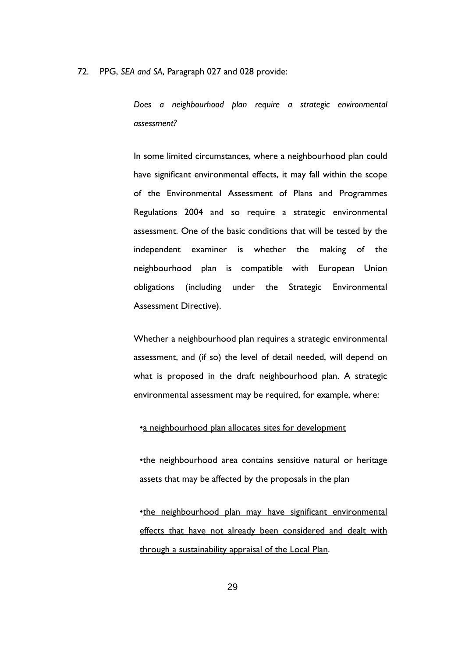72. PPG, *SEA and SA*, Paragraph 027 and 028 provide:

*Does a neighbourhood plan require a strategic environmental assessment?* 

In some limited circumstances, where a neighbourhood plan could have significant environmental effects, it may fall within the scope of the Environmental Assessment of Plans and Programmes Regulations 2004 and so require a strategic environmental assessment. One of the basic conditions that will be tested by the independent examiner is whether the making of the neighbourhood plan is compatible with European Union obligations (including under the Strategic Environmental Assessment Directive).

Whether a neighbourhood plan requires a strategic environmental assessment, and (if so) the level of detail needed, will depend on what is proposed in the draft neighbourhood plan. A strategic environmental assessment may be required, for example, where:

#### •a neighbourhood plan allocates sites for development

•the neighbourhood area contains sensitive natural or heritage assets that may be affected by the proposals in the plan

•the neighbourhood plan may have significant environmental effects that have not already been considered and dealt with through a sustainability appraisal of the Local Plan.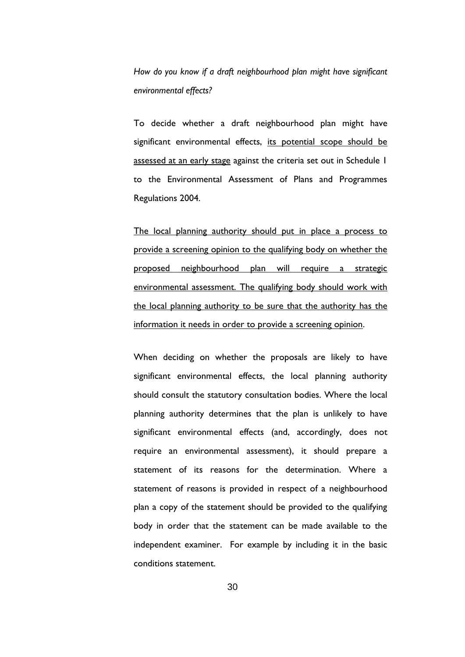*How do you know if a draft neighbourhood plan might have significant environmental effects?*

To decide whether a draft neighbourhood plan might have significant environmental effects, its potential scope should be assessed at an early stage against the criteria set out in Schedule 1 to the Environmental Assessment of Plans and Programmes Regulations 2004.

The local planning authority should put in place a process to provide a screening opinion to the qualifying body on whether the proposed neighbourhood plan will require a strategic environmental assessment. The qualifying body should work with the local planning authority to be sure that the authority has the information it needs in order to provide a screening opinion.

When deciding on whether the proposals are likely to have significant environmental effects, the local planning authority should consult the statutory consultation bodies. Where the local planning authority determines that the plan is unlikely to have significant environmental effects (and, accordingly, does not require an environmental assessment), it should prepare a statement of its reasons for the determination. Where a statement of reasons is provided in respect of a neighbourhood plan a copy of the statement should be provided to the qualifying body in order that the statement can be made available to the independent examiner. For example by including it in the basic conditions statement.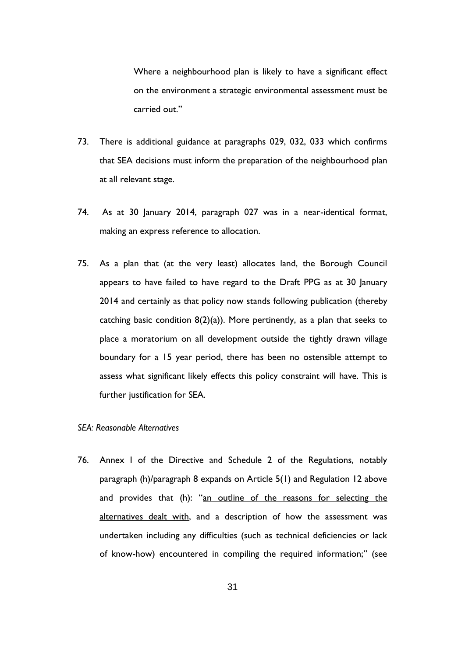Where a neighbourhood plan is likely to have a significant effect on the environment a strategic environmental assessment must be carried out."

- 73. There is additional guidance at paragraphs 029, 032, 033 which confirms that SEA decisions must inform the preparation of the neighbourhood plan at all relevant stage.
- 74. As at 30 January 2014, paragraph 027 was in a near-identical format, making an express reference to allocation.
- 75. As a plan that (at the very least) allocates land, the Borough Council appears to have failed to have regard to the Draft PPG as at 30 January 2014 and certainly as that policy now stands following publication (thereby catching basic condition  $8(2)(a)$ ). More pertinently, as a plan that seeks to place a moratorium on all development outside the tightly drawn village boundary for a 15 year period, there has been no ostensible attempt to assess what significant likely effects this policy constraint will have. This is further justification for SEA.

#### *SEA: Reasonable Alternatives*

76. Annex I of the Directive and Schedule 2 of the Regulations, notably paragraph (h)/paragraph 8 expands on Article 5(1) and Regulation 12 above and provides that (h): "an outline of the reasons for selecting the alternatives dealt with, and a description of how the assessment was undertaken including any difficulties (such as technical deficiencies or lack of know-how) encountered in compiling the required information;" (see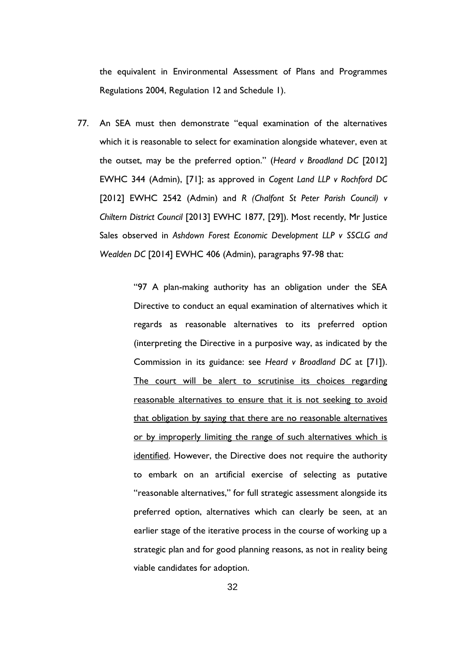the equivalent in Environmental Assessment of Plans and Programmes Regulations 2004, Regulation 12 and Schedule 1).

77. An SEA must then demonstrate "equal examination of the alternatives which it is reasonable to select for examination alongside whatever, even at the outset, may be the preferred option." (*Heard v Broadland DC* [2012] EWHC 344 (Admin), [71]; as approved in *Cogent Land LLP v Rochford DC* [2012] EWHC 2542 (Admin) and *R (Chalfont St Peter Parish Council) v Chiltern District Council* [2013] EWHC 1877, [29]). Most recently, Mr Justice Sales observed in *Ashdown Forest Economic Development LLP v SSCLG and Wealden DC* [2014] EWHC 406 (Admin), paragraphs 97-98 that:

> "97 A plan-making authority has an obligation under the SEA Directive to conduct an equal examination of alternatives which it regards as reasonable alternatives to its preferred option (interpreting the Directive in a purposive way, as indicated by the Commission in its guidance: see *Heard v Broadland DC* at [71]). The court will be alert to scrutinise its choices regarding reasonable alternatives to ensure that it is not seeking to avoid that obligation by saying that there are no reasonable alternatives or by improperly limiting the range of such alternatives which is identified. However, the Directive does not require the authority to embark on an artificial exercise of selecting as putative "reasonable alternatives," for full strategic assessment alongside its preferred option, alternatives which can clearly be seen, at an earlier stage of the iterative process in the course of working up a strategic plan and for good planning reasons, as not in reality being viable candidates for adoption.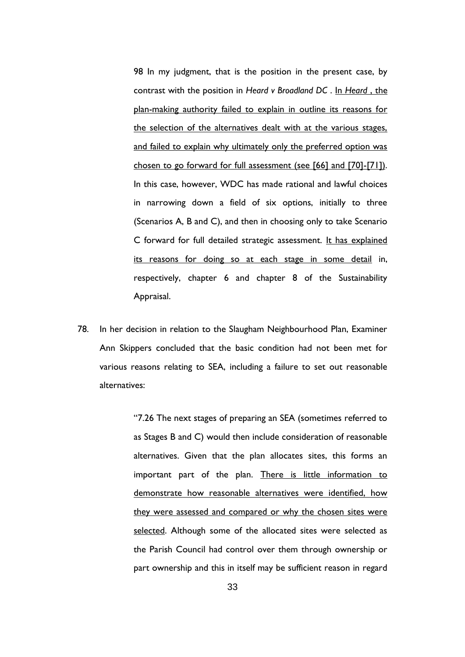98 In my judgment, that is the position in the present case, by contrast with the position in *Heard v Broadland DC* . In *Heard* , the plan-making authority failed to explain in outline its reasons for the selection of the alternatives dealt with at the various stages, and failed to explain why ultimately only the preferred option was chosen to go forward for full assessment (see [66] and [70]-[71]). In this case, however, WDC has made rational and lawful choices in narrowing down a field of six options, initially to three (Scenarios A, B and C), and then in choosing only to take Scenario C forward for full detailed strategic assessment. It has explained its reasons for doing so at each stage in some detail in, respectively, chapter 6 and chapter 8 of the Sustainability Appraisal.

78. In her decision in relation to the Slaugham Neighbourhood Plan, Examiner Ann Skippers concluded that the basic condition had not been met for various reasons relating to SEA, including a failure to set out reasonable alternatives:

> "7.26 The next stages of preparing an SEA (sometimes referred to as Stages B and C) would then include consideration of reasonable alternatives. Given that the plan allocates sites, this forms an important part of the plan. There is little information to demonstrate how reasonable alternatives were identified, how they were assessed and compared or why the chosen sites were selected. Although some of the allocated sites were selected as the Parish Council had control over them through ownership or part ownership and this in itself may be sufficient reason in regard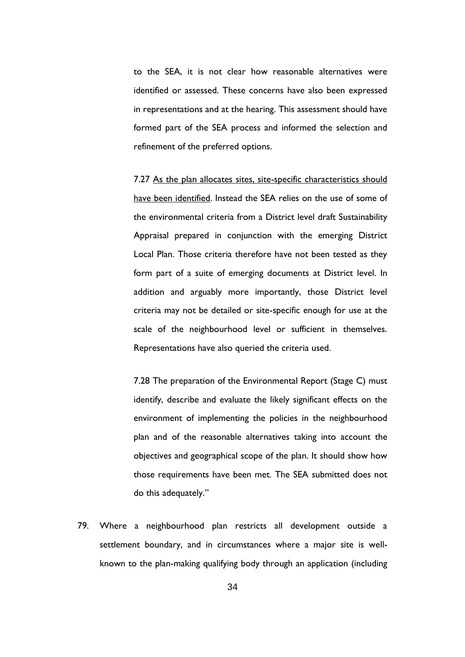to the SEA, it is not clear how reasonable alternatives were identified or assessed. These concerns have also been expressed in representations and at the hearing. This assessment should have formed part of the SEA process and informed the selection and refinement of the preferred options.

7.27 As the plan allocates sites, site-specific characteristics should have been identified. Instead the SEA relies on the use of some of the environmental criteria from a District level draft Sustainability Appraisal prepared in conjunction with the emerging District Local Plan. Those criteria therefore have not been tested as they form part of a suite of emerging documents at District level. In addition and arguably more importantly, those District level criteria may not be detailed or site-specific enough for use at the scale of the neighbourhood level or sufficient in themselves. Representations have also queried the criteria used.

7.28 The preparation of the Environmental Report (Stage C) must identify, describe and evaluate the likely significant effects on the environment of implementing the policies in the neighbourhood plan and of the reasonable alternatives taking into account the objectives and geographical scope of the plan. It should show how those requirements have been met. The SEA submitted does not do this adequately."

79. Where a neighbourhood plan restricts all development outside a settlement boundary, and in circumstances where a major site is wellknown to the plan-making qualifying body through an application (including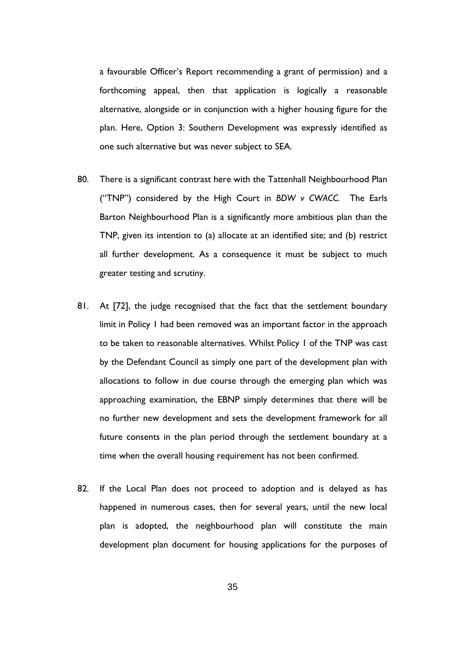a favourable Officer's Report recommending a grant of permission) and a forthcoming appeal, then that application is logically a reasonable alternative, alongside or in conjunction with a higher housing figure for the plan. Here, Option 3: Southern Development was expressly identified as one such alternative but was never subject to SEA.

- 80. There is a significant contrast here with the Tattenhall Neighbourhood Plan ("TNP") considered by the High Court in *BDW v CWACC.* The Earls Barton Neighbourhood Plan is a significantly more ambitious plan than the TNP, given its intention to (a) allocate at an identified site; and (b) restrict all further development. As a consequence it must be subject to much greater testing and scrutiny.
- 81. At [72], the judge recognised that the fact that the settlement boundary limit in Policy 1 had been removed was an important factor in the approach to be taken to reasonable alternatives. Whilst Policy 1 of the TNP was cast by the Defendant Council as simply one part of the development plan with allocations to follow in due course through the emerging plan which was approaching examination, the EBNP simply determines that there will be no further new development and sets the development framework for all future consents in the plan period through the settlement boundary at a time when the overall housing requirement has not been confirmed.
- 82. If the Local Plan does not proceed to adoption and is delayed as has happened in numerous cases, then for several years, until the new local plan is adopted, the neighbourhood plan will constitute the main development plan document for housing applications for the purposes of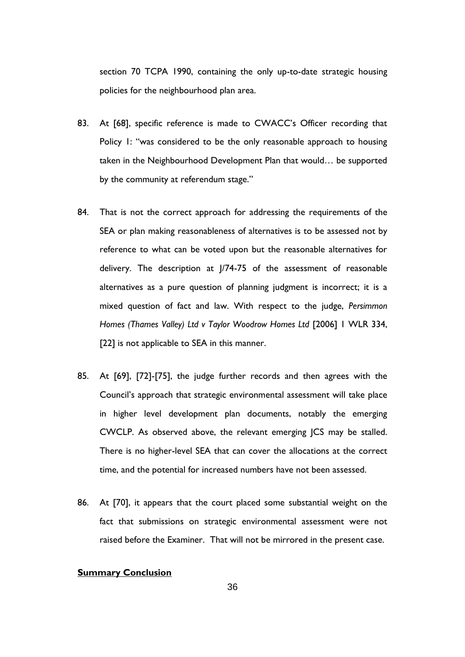section 70 TCPA 1990, containing the only up-to-date strategic housing policies for the neighbourhood plan area.

- 83. At [68], specific reference is made to CWACC's Officer recording that Policy 1: "was considered to be the only reasonable approach to housing taken in the Neighbourhood Development Plan that would… be supported by the community at referendum stage."
- 84. That is not the correct approach for addressing the requirements of the SEA or plan making reasonableness of alternatives is to be assessed not by reference to what can be voted upon but the reasonable alternatives for delivery. The description at J/74-75 of the assessment of reasonable alternatives as a pure question of planning judgment is incorrect; it is a mixed question of fact and law. With respect to the judge, *Persimmon Homes (Thames Valley) Ltd v Taylor Woodrow Homes Ltd* [2006] 1 WLR 334, [22] is not applicable to SEA in this manner.
- 85. At [69], [72]-[75], the judge further records and then agrees with the Council's approach that strategic environmental assessment will take place in higher level development plan documents, notably the emerging CWCLP. As observed above, the relevant emerging JCS may be stalled. There is no higher-level SEA that can cover the allocations at the correct time, and the potential for increased numbers have not been assessed.
- 86. At [70], it appears that the court placed some substantial weight on the fact that submissions on strategic environmental assessment were not raised before the Examiner. That will not be mirrored in the present case.

## **Summary Conclusion**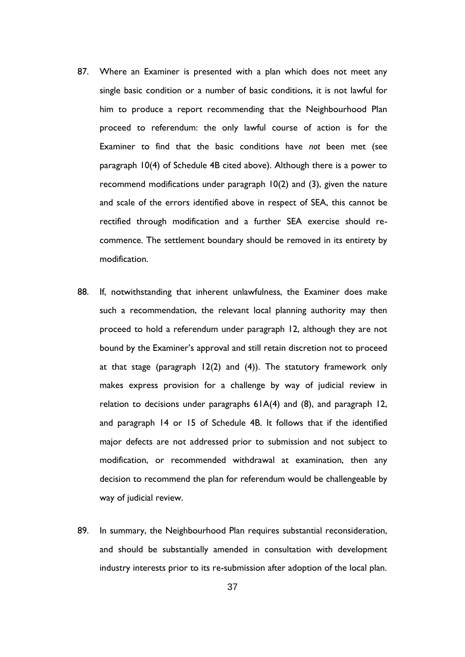- 87. Where an Examiner is presented with a plan which does not meet any single basic condition or a number of basic conditions, it is not lawful for him to produce a report recommending that the Neighbourhood Plan proceed to referendum: the only lawful course of action is for the Examiner to find that the basic conditions have *not* been met (see paragraph 10(4) of Schedule 4B cited above). Although there is a power to recommend modifications under paragraph 10(2) and (3), given the nature and scale of the errors identified above in respect of SEA, this cannot be rectified through modification and a further SEA exercise should recommence. The settlement boundary should be removed in its entirety by modification.
- 88. If, notwithstanding that inherent unlawfulness, the Examiner does make such a recommendation, the relevant local planning authority may then proceed to hold a referendum under paragraph 12, although they are not bound by the Examiner's approval and still retain discretion not to proceed at that stage (paragraph 12(2) and (4)). The statutory framework only makes express provision for a challenge by way of judicial review in relation to decisions under paragraphs 61A(4) and (8), and paragraph 12, and paragraph 14 or 15 of Schedule 4B. It follows that if the identified major defects are not addressed prior to submission and not subject to modification, or recommended withdrawal at examination, then any decision to recommend the plan for referendum would be challengeable by way of judicial review.
- 89. In summary, the Neighbourhood Plan requires substantial reconsideration, and should be substantially amended in consultation with development industry interests prior to its re-submission after adoption of the local plan.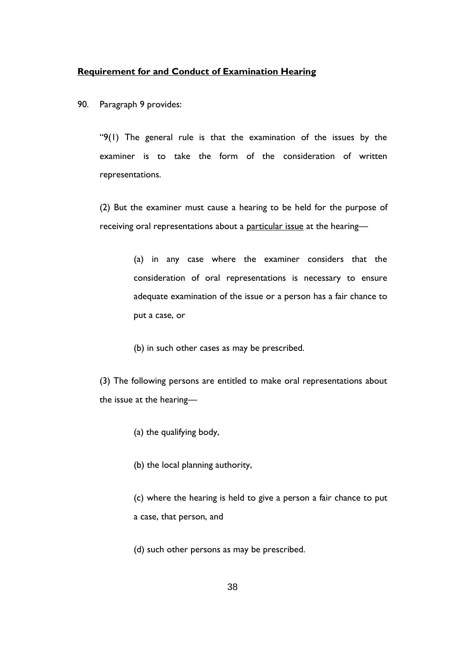#### **Requirement for and Conduct of Examination Hearing**

90. Paragraph 9 provides:

"9(1) The general rule is that the examination of the issues by the examiner is to take the form of the consideration of written representations.

(2) But the examiner must cause a hearing to be held for the purpose of receiving oral representations about a particular issue at the hearing—

> (a) in any case where the examiner considers that the consideration of oral representations is necessary to ensure adequate examination of the issue or a person has a fair chance to put a case, or

(b) in such other cases as may be prescribed.

(3) The following persons are entitled to make oral representations about the issue at the hearing—

- (a) the qualifying body,
- (b) the local planning authority,

(c) where the hearing is held to give a person a fair chance to put a case, that person, and

(d) such other persons as may be prescribed.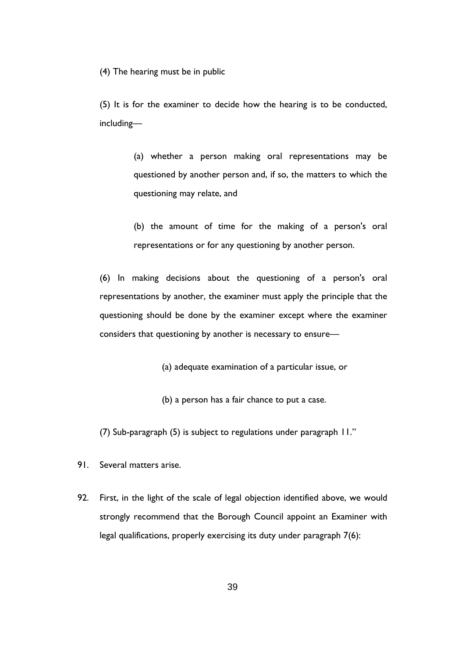(4) The hearing must be in public

(5) It is for the examiner to decide how the hearing is to be conducted, including—

> (a) whether a person making oral representations may be questioned by another person and, if so, the matters to which the questioning may relate, and

> (b) the amount of time for the making of a person's oral representations or for any questioning by another person.

(6) In making decisions about the questioning of a person's oral representations by another, the examiner must apply the principle that the questioning should be done by the examiner except where the examiner considers that questioning by another is necessary to ensure—

(a) adequate examination of a particular issue, or

(b) a person has a fair chance to put a case.

(7) Sub-paragraph (5) is subject to regulations under paragraph 11."

91. Several matters arise.

92. First, in the light of the scale of legal objection identified above, we would strongly recommend that the Borough Council appoint an Examiner with legal qualifications, properly exercising its duty under paragraph 7(6):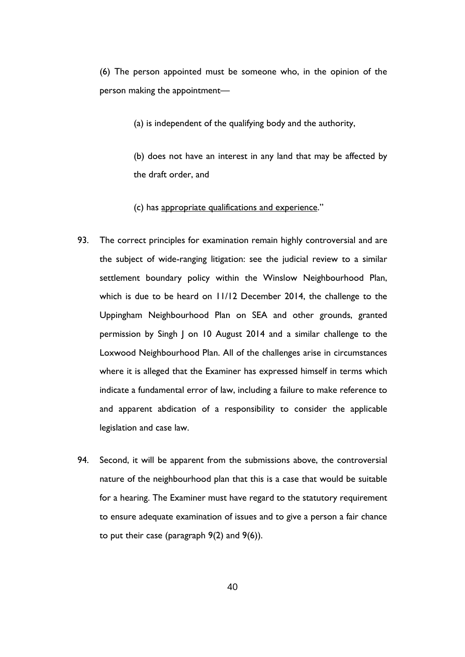(6) The person appointed must be someone who, in the opinion of the person making the appointment—

(a) is independent of the qualifying body and the authority,

(b) does not have an interest in any land that may be affected by the draft order, and

(c) has appropriate qualifications and experience."

- 93. The correct principles for examination remain highly controversial and are the subject of wide-ranging litigation: see the judicial review to a similar settlement boundary policy within the Winslow Neighbourhood Plan, which is due to be heard on 11/12 December 2014, the challenge to the Uppingham Neighbourhood Plan on SEA and other grounds, granted permission by Singh J on 10 August 2014 and a similar challenge to the Loxwood Neighbourhood Plan. All of the challenges arise in circumstances where it is alleged that the Examiner has expressed himself in terms which indicate a fundamental error of law, including a failure to make reference to and apparent abdication of a responsibility to consider the applicable legislation and case law.
- 94. Second, it will be apparent from the submissions above, the controversial nature of the neighbourhood plan that this is a case that would be suitable for a hearing. The Examiner must have regard to the statutory requirement to ensure adequate examination of issues and to give a person a fair chance to put their case (paragraph 9(2) and 9(6)).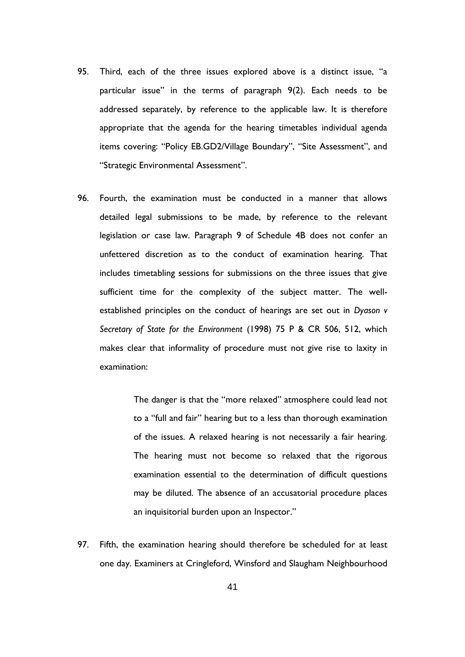- 95. Third, each of the three issues explored above is a distinct issue, "a particular issue" in the terms of paragraph 9(2). Each needs to be addressed separately, by reference to the applicable law. It is therefore appropriate that the agenda for the hearing timetables individual agenda items covering: "Policy EB.GD2/Village Boundary", "Site Assessment", and "Strategic Environmental Assessment".
- 96. Fourth, the examination must be conducted in a manner that allows detailed legal submissions to be made, by reference to the relevant legislation or case law. Paragraph 9 of Schedule 4B does not confer an unfettered discretion as to the conduct of examination hearing. That includes timetabling sessions for submissions on the three issues that give sufficient time for the complexity of the subject matter. The wellestablished principles on the conduct of hearings are set out in *Dyason v Secretary of State for the Environment* (1998) 75 P & CR 506, 512, which makes clear that informality of procedure must not give rise to laxity in examination:

The danger is that the "more relaxed" atmosphere could lead not to a "full and fair" hearing but to a less than thorough examination of the issues. A relaxed hearing is not necessarily a fair hearing. The hearing must not become so relaxed that the rigorous examination essential to the determination of difficult questions may be diluted. The absence of an accusatorial procedure places an inquisitorial burden upon an Inspector."

97. Fifth, the examination hearing should therefore be scheduled for at least one day. Examiners at Cringleford, Winsford and Slaugham Neighbourhood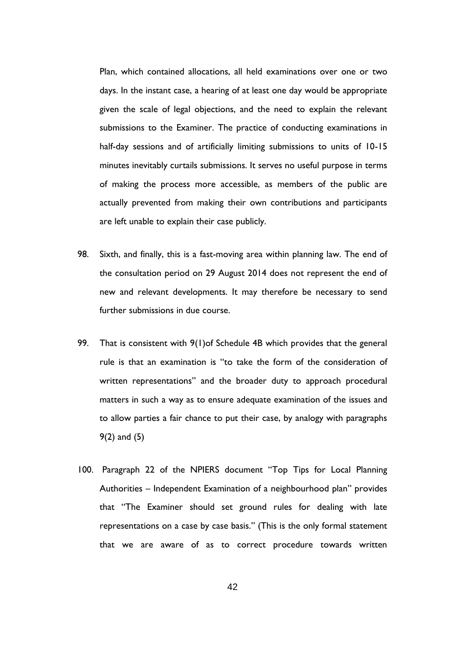Plan, which contained allocations, all held examinations over one or two days. In the instant case, a hearing of at least one day would be appropriate given the scale of legal objections, and the need to explain the relevant submissions to the Examiner. The practice of conducting examinations in half-day sessions and of artificially limiting submissions to units of 10-15 minutes inevitably curtails submissions. It serves no useful purpose in terms of making the process more accessible, as members of the public are actually prevented from making their own contributions and participants are left unable to explain their case publicly.

- 98. Sixth, and finally, this is a fast-moving area within planning law. The end of the consultation period on 29 August 2014 does not represent the end of new and relevant developments. It may therefore be necessary to send further submissions in due course.
- 99. That is consistent with 9(1)of Schedule 4B which provides that the general rule is that an examination is "to take the form of the consideration of written representations" and the broader duty to approach procedural matters in such a way as to ensure adequate examination of the issues and to allow parties a fair chance to put their case, by analogy with paragraphs 9(2) and (5)
- 100. Paragraph 22 of the NPIERS document "Top Tips for Local Planning Authorities – Independent Examination of a neighbourhood plan" provides that "The Examiner should set ground rules for dealing with late representations on a case by case basis." (This is the only formal statement that we are aware of as to correct procedure towards written